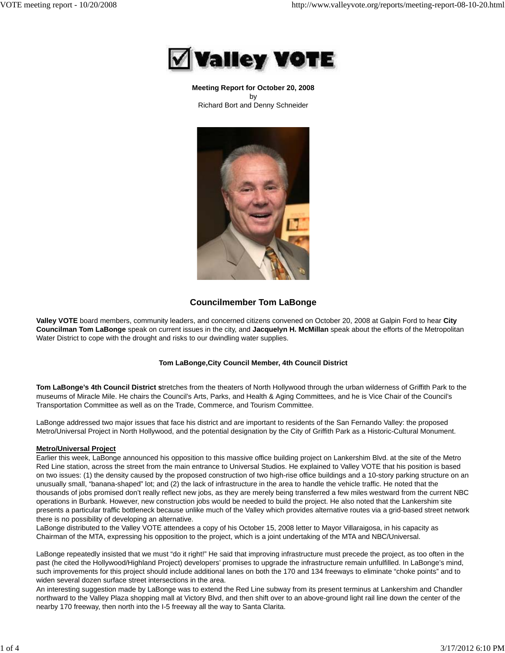

**Meeting Report for October 20, 2008** by Richard Bort and Denny Schneider



# **Councilmember Tom LaBonge**

**Valley VOTE** board members, community leaders, and concerned citizens convened on October 20, 2008 at Galpin Ford to hear **City Councilman Tom LaBonge** speak on current issues in the city, and **Jacquelyn H. McMillan** speak about the efforts of the Metropolitan Water District to cope with the drought and risks to our dwindling water supplies.

# **Tom LaBonge,City Council Member, 4th Council District**

**Tom LaBonge's 4th Council District s**tretches from the theaters of North Hollywood through the urban wilderness of Griffith Park to the museums of Miracle Mile. He chairs the Council's Arts, Parks, and Health & Aging Committees, and he is Vice Chair of the Council's Transportation Committee as well as on the Trade, Commerce, and Tourism Committee.

LaBonge addressed two major issues that face his district and are important to residents of the San Fernando Valley: the proposed Metro/Universal Project in North Hollywood, and the potential designation by the City of Griffith Park as a Historic-Cultural Monument.

# **Metro/Universal Project**

Earlier this week, LaBonge announced his opposition to this massive office building project on Lankershim Blvd. at the site of the Metro Red Line station, across the street from the main entrance to Universal Studios. He explained to Valley VOTE that his position is based on two issues: (1) the density caused by the proposed construction of two high-rise office buildings and a 10-story parking structure on an unusually small, "banana-shaped" lot; and (2) the lack of infrastructure in the area to handle the vehicle traffic. He noted that the thousands of jobs promised don't really reflect new jobs, as they are merely being transferred a few miles westward from the current NBC operations in Burbank. However, new construction jobs would be needed to build the project. He also noted that the Lankershim site presents a particular traffic bottleneck because unlike much of the Valley which provides alternative routes via a grid-based street network there is no possibility of developing an alternative.

LaBonge distributed to the Valley VOTE attendees a copy of his October 15, 2008 letter to Mayor Villaraigosa, in his capacity as Chairman of the MTA, expressing his opposition to the project, which is a joint undertaking of the MTA and NBC/Universal.

LaBonge repeatedly insisted that we must "do it right!" He said that improving infrastructure must precede the project, as too often in the past (he cited the Hollywood/Highland Project) developers' promises to upgrade the infrastructure remain unfulfilled. In LaBonge's mind, such improvements for this project should include additional lanes on both the 170 and 134 freeways to eliminate "choke points" and to widen several dozen surface street intersections in the area.

An interesting suggestion made by LaBonge was to extend the Red Line subway from its present terminus at Lankershim and Chandler northward to the Valley Plaza shopping mall at Victory Blvd, and then shift over to an above-ground light rail line down the center of the nearby 170 freeway, then north into the I-5 freeway all the way to Santa Clarita.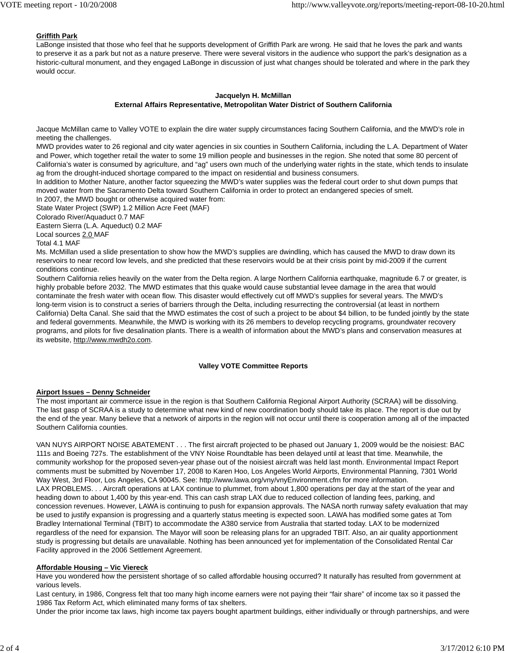# **Griffith Park**

LaBonge insisted that those who feel that he supports development of Griffith Park are wrong. He said that he loves the park and wants to preserve it as a park but not as a nature preserve. There were several visitors in the audience who support the park's designation as a historic-cultural monument, and they engaged LaBonge in discussion of just what changes should be tolerated and where in the park they would occur.

#### **Jacquelyn H. McMillan External Affairs Representative, Metropolitan Water District of Southern California**

Jacque McMillan came to Valley VOTE to explain the dire water supply circumstances facing Southern California, and the MWD's role in meeting the challenges.

MWD provides water to 26 regional and city water agencies in six counties in Southern California, including the L.A. Department of Water and Power, which together retail the water to some 19 million people and businesses in the region. She noted that some 80 percent of California's water is consumed by agriculture, and "ag" users own much of the underlying water rights in the state, which tends to insulate ag from the drought-induced shortage compared to the impact on residential and business consumers.

In addition to Mother Nature, another factor squeezing the MWD's water supplies was the federal court order to shut down pumps that moved water from the Sacramento Delta toward Southern California in order to protect an endangered species of smelt.

In 2007, the MWD bought or otherwise acquired water from:

State Water Project (SWP) 1.2 Million Acre Feet (MAF)

Colorado River/Aquaduct 0.7 MAF Eastern Sierra (L.A. Aqueduct) 0.2 MAF

Local sources 2.0 MAF

Total 4.1 MAF

Ms. McMillan used a slide presentation to show how the MWD's supplies are dwindling, which has caused the MWD to draw down its reservoirs to near record low levels, and she predicted that these reservoirs would be at their crisis point by mid-2009 if the current conditions continue.

Southern California relies heavily on the water from the Delta region. A large Northern California earthquake, magnitude 6.7 or greater, is highly probable before 2032. The MWD estimates that this quake would cause substantial levee damage in the area that would contaminate the fresh water with ocean flow. This disaster would effectively cut off MWD's supplies for several years. The MWD's long-term vision is to construct a series of barriers through the Delta, including resurrecting the controversial (at least in northern California) Delta Canal. She said that the MWD estimates the cost of such a project to be about \$4 billion, to be funded jointly by the state and federal governments. Meanwhile, the MWD is working with its 26 members to develop recycling programs, groundwater recovery programs, and pilots for five desalination plants. There is a wealth of information about the MWD's plans and conservation measures at its website, http://www.mwdh2o.com.

# **Valley VOTE Committee Reports**

# **Airport Issues – Denny Schneider**

The most important air commerce issue in the region is that Southern California Regional Airport Authority (SCRAA) will be dissolving. The last gasp of SCRAA is a study to determine what new kind of new coordination body should take its place. The report is due out by the end of the year. Many believe that a network of airports in the region will not occur until there is cooperation among all of the impacted Southern California counties.

VAN NUYS AIRPORT NOISE ABATEMENT . . . The first aircraft projected to be phased out January 1, 2009 would be the noisiest: BAC 111s and Boeing 727s. The establishment of the VNY Noise Roundtable has been delayed until at least that time. Meanwhile, the community workshop for the proposed seven-year phase out of the noisiest aircraft was held last month. Environmental Impact Report comments must be submitted by November 17, 2008 to Karen Hoo, Los Angeles World Airports, Environmental Planning, 7301 World Way West, 3rd Floor, Los Angeles, CA 90045. See: http://www.lawa.org/vny/vnyEnvironment.cfm for more information. LAX PROBLEMS. . . Aircraft operations at LAX continue to plummet, from about 1,800 operations per day at the start of the year and heading down to about 1,400 by this year-end. This can cash strap LAX due to reduced collection of landing fees, parking, and concession revenues. However, LAWA is continuing to push for expansion approvals. The NASA north runway safety evaluation that may be used to justify expansion is progressing and a quarterly status meeting is expected soon. LAWA has modified some gates at Tom Bradley International Terminal (TBIT) to accommodate the A380 service from Australia that started today. LAX to be modernized regardless of the need for expansion. The Mayor will soon be releasing plans for an upgraded TBIT. Also, an air quality apportionment study is progressing but details are unavailable. Nothing has been announced yet for implementation of the Consolidated Rental Car Facility approved in the 2006 Settlement Agreement.

# **Affordable Housing – Vic Viereck**

Have you wondered how the persistent shortage of so called affordable housing occurred? It naturally has resulted from government at various levels.

Last century, in 1986, Congress felt that too many high income earners were not paying their "fair share" of income tax so it passed the 1986 Tax Reform Act, which eliminated many forms of tax shelters.

Under the prior income tax laws, high income tax payers bought apartment buildings, either individually or through partnerships, and were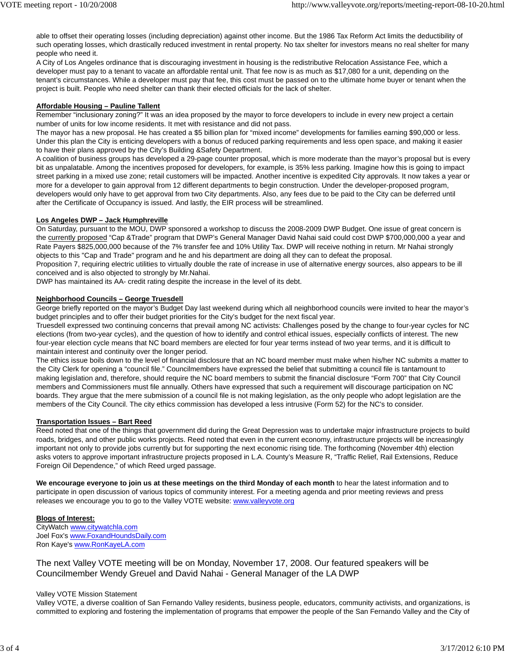able to offset their operating losses (including depreciation) against other income. But the 1986 Tax Reform Act limits the deductibility of such operating losses, which drastically reduced investment in rental property. No tax shelter for investors means no real shelter for many people who need it.

A City of Los Angeles ordinance that is discouraging investment in housing is the redistributive Relocation Assistance Fee, which a developer must pay to a tenant to vacate an affordable rental unit. That fee now is as much as \$17,080 for a unit, depending on the tenant's circumstances. While a developer must pay that fee, this cost must be passed on to the ultimate home buyer or tenant when the project is built. People who need shelter can thank their elected officials for the lack of shelter.

# **Affordable Housing – Pauline Tallent**

Remember "inclusionary zoning?" It was an idea proposed by the mayor to force developers to include in every new project a certain number of units for low income residents. It met with resistance and did not pass.

The mayor has a new proposal. He has created a \$5 billion plan for "mixed income" developments for families earning \$90,000 or less. Under this plan the City is enticing developers with a bonus of reduced parking requirements and less open space, and making it easier to have their plans approved by the City's Building &Safety Department.

A coalition of business groups has developed a 29-page counter proposal, which is more moderate than the mayor's proposal but is every bit as unpalatable. Among the incentives proposed for developers, for example, is 35% less parking. Imagine how this is going to impact street parking in a mixed use zone; retail customers will be impacted. Another incentive is expedited City approvals. It now takes a year or more for a developer to gain approval from 12 different departments to begin construction. Under the developer-proposed program, developers would only have to get approval from two City departments. Also, any fees due to be paid to the City can be deferred until after the Certificate of Occupancy is issued. And lastly, the EIR process will be streamlined.

#### **Los Angeles DWP – Jack Humphreville**

On Saturday, pursuant to the MOU, DWP sponsored a workshop to discuss the 2008-2009 DWP Budget. One issue of great concern is the currently proposed "Cap &Trade" program that DWP's General Manager David Nahai said could cost DWP \$700,000,000 a year and Rate Payers \$825,000,000 because of the 7% transfer fee and 10% Utility Tax. DWP will receive nothing in return. Mr Nahai strongly objects to this "Cap and Trade" program and he and his department are doing all they can to defeat the proposal.

Proposition 7, requiring electric utilities to virtually double the rate of increase in use of alternative energy sources, also appears to be ill conceived and is also objected to strongly by Mr.Nahai.

DWP has maintained its AA- credit rating despite the increase in the level of its debt.

#### **Neighborhood Councils – George Truesdell**

George briefly reported on the mayor's Budget Day last weekend during which all neighborhood councils were invited to hear the mayor's budget principles and to offer their budget priorities for the City's budget for the next fiscal year.

Truesdell expressed two continuing concerns that prevail among NC activists: Challenges posed by the change to four-year cycles for NC elections (from two-year cycles), and the question of how to identify and control ethical issues, especially conflicts of interest. The new four-year election cycle means that NC board members are elected for four year terms instead of two year terms, and it is difficult to maintain interest and continuity over the longer period.

The ethics issue boils down to the level of financial disclosure that an NC board member must make when his/her NC submits a matter to the City Clerk for opening a "council file." Councilmembers have expressed the belief that submitting a council file is tantamount to making legislation and, therefore, should require the NC board members to submit the financial disclosure "Form 700" that City Council members and Commissioners must file annually. Others have expressed that such a requirement will discourage participation on NC boards. They argue that the mere submission of a council file is not making legislation, as the only people who adopt legislation are the members of the City Council. The city ethics commission has developed a less intrusive (Form 52) for the NC's to consider.

# **Transportation Issues – Bart Reed**

Reed noted that one of the things that government did during the Great Depression was to undertake major infrastructure projects to build roads, bridges, and other public works projects. Reed noted that even in the current economy, infrastructure projects will be increasingly important not only to provide jobs currently but for supporting the next economic rising tide. The forthcoming (November 4th) election asks voters to approve important infrastructure projects proposed in L.A. County's Measure R, "Traffic Relief, Rail Extensions, Reduce Foreign Oil Dependence," of which Reed urged passage.

**We encourage everyone to join us at these meetings on the third Monday of each month** to hear the latest information and to participate in open discussion of various topics of community interest. For a meeting agenda and prior meeting reviews and press releases we encourage you to go to the Valley VOTE website: www.valleyvote.org

# **Blogs of Interest:**

CityWatch www.citywatchla.com Joel Fox's www.FoxandHoundsDaily.com Ron Kaye's www.RonKayeLA.com

The next Valley VOTE meeting will be on Monday, November 17, 2008. Our featured speakers will be Councilmember Wendy Greuel and David Nahai - General Manager of the LA DWP

#### Valley VOTE Mission Statement

Valley VOTE, a diverse coalition of San Fernando Valley residents, business people, educators, community activists, and organizations, is committed to exploring and fostering the implementation of programs that empower the people of the San Fernando Valley and the City of